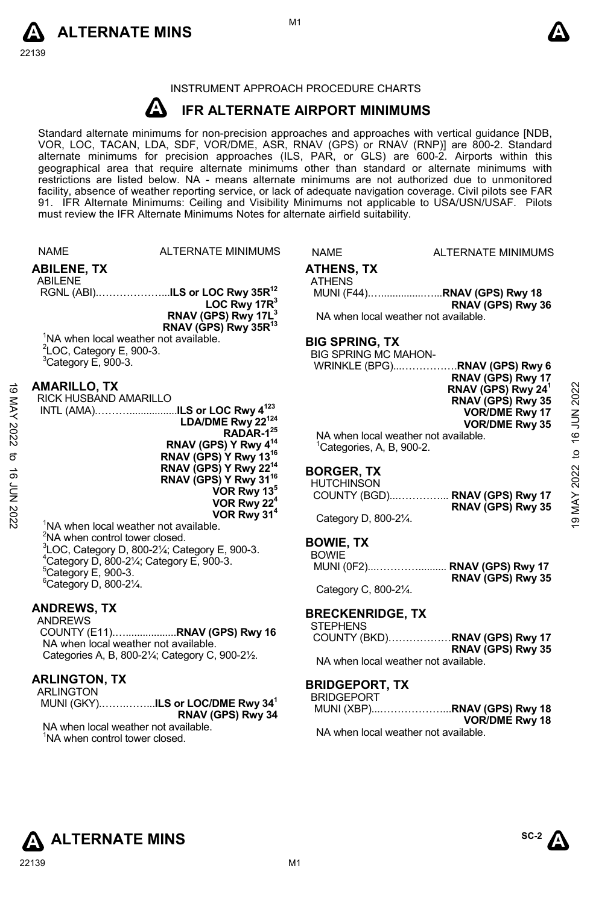



#### INSTRUMENT APPROACH PROCEDURE CHARTS

#### **A IFR ALTERNATE AIRPORT MINIMUMS**

Standard alternate minimums for non-precision approaches and approaches with vertical guidance [NDB,<br>VOR, LOC, TACAN, LDA, SDF, VOR/DME, ASR, RNAV (GPS) or RNAV (RNP)] are 800-2. Standard<br>alternate minimums for precision a geographical area that require alternate minimums other than standard or alternate minimums with restrictions are listed below. NA - means alternate minimums are not authorized due to unmonitored facility, absence of weather reporting service, or lack of adequate navigation coverage. Civil pilots see FAR 91. IFR Alternate Minimums: Ceiling and Visibility Minimums not applicable to USA/USN/USAF. Pilots must review the IFR Alternate Minimums Notes for alternate airfield suitability.

|                    | <b>NAME</b>                                                                        | ALTERNATE MINIMUMS                                                    | <b>NAME</b>                                | <b>ALTERNATE MINIMUMS</b>                            |              |
|--------------------|------------------------------------------------------------------------------------|-----------------------------------------------------------------------|--------------------------------------------|------------------------------------------------------|--------------|
|                    | <b>ABILENE, TX</b>                                                                 |                                                                       | <b>ATHENS, TX</b>                          |                                                      |              |
|                    | <b>ABILENE</b>                                                                     |                                                                       | <b>ATHENS</b>                              | MUNI (F44)RNAV (GPS) Rwy 18                          |              |
|                    |                                                                                    | LOC Rwy $17R3$                                                        |                                            | RNAV (GPS) Rwy 36                                    |              |
|                    |                                                                                    | RNAV (GPS) Rwy 17L <sup>3</sup>                                       |                                            | NA when local weather not available.                 |              |
|                    |                                                                                    | RNAV (GPS) Rwy 35R <sup>13</sup>                                      |                                            |                                                      |              |
|                    | <sup>1</sup> NA when local weather not available.<br>$2$ LOC, Category E, 900-3.   |                                                                       | <b>BIG SPRING, TX</b>                      |                                                      |              |
|                    | $3$ Category E, 900-3.                                                             |                                                                       | <b>BIG SPRING MC MAHON-</b>                | WRINKLE (BPG)RNAV (GPS) Rwy 6                        |              |
|                    |                                                                                    |                                                                       |                                            | RNAV (GPS) Rwy 17                                    |              |
| ಠ                  | <b>AMARILLO, TX</b><br>RICK HUSBAND AMARILLO                                       |                                                                       |                                            | RNAV (GPS) Rwy 24 <sup>1</sup>                       | 2022         |
|                    |                                                                                    | INTL (AMA)ILS or LOC Rwy 4 <sup>123</sup>                             |                                            | RNAV (GPS) Rwy 35<br><b>VOR/DME Rwy 17</b>           |              |
|                    |                                                                                    | LDA/DME Rwy 22 <sup>124</sup>                                         |                                            | <b>VOR/DME Rwy 35</b>                                |              |
| MAY 2022           |                                                                                    | RADAR-1 <sup>25</sup>                                                 |                                            | NA when local weather not available.                 | 16 JUN       |
| ಕ                  |                                                                                    | RNAV (GPS) Y Rwy 4 <sup>14</sup><br>RNAV (GPS) Y Rwy 13 <sup>16</sup> | <sup>1</sup> Categories, A, B, 900-2.      |                                                      | $\mathbf{c}$ |
|                    |                                                                                    | RNAV (GPS) Y Rwy 22 <sup>14</sup>                                     | <b>BORGER TX</b>                           |                                                      | 2022         |
| <b>16 JUN 2022</b> |                                                                                    | RNAV (GPS) Y Rwy 31 <sup>16</sup>                                     | <b>HUTCHINSON</b>                          |                                                      |              |
|                    |                                                                                    | VOR Rwy 13 <sup>5</sup><br>VOR Rwy 22 <sup>4</sup>                    |                                            | COUNTY (BGD) RNAV (GPS) Rwy 17                       | MAY.         |
|                    |                                                                                    | VOR Rwy 31 <sup>4</sup>                                               | Category D, 800-21/4.                      | RNAV (GPS) Rwy 35                                    | တ            |
|                    | <sup>1</sup> NA when local weather not available.                                  |                                                                       |                                            |                                                      |              |
|                    | <sup>2</sup> NA when control tower closed.                                         | ${}^{3}$ LOC, Category D, 800-2 $\frac{1}{4}$ ; Category E, 900-3.    | <b>BOWIE, TX</b>                           |                                                      |              |
|                    | $4$ Category D, 800-2 $\frac{1}{4}$ ; Category E, 900-3.                           |                                                                       | <b>BOWIE</b>                               | MUNI (0F2) RNAV (GPS) Rwy 17                         |              |
|                    | $5$ Category E, 900-3.                                                             |                                                                       |                                            | RNAV (GPS) Rwy 35                                    |              |
|                    | <sup>6</sup> Category D, 800-21/4.                                                 |                                                                       | Category C, 800-21/4.                      |                                                      |              |
|                    | <b>ANDREWS, TX</b>                                                                 |                                                                       |                                            |                                                      |              |
|                    | <b>ANDREWS</b>                                                                     |                                                                       | <b>BRECKENRIDGE, TX</b><br><b>STEPHENS</b> |                                                      |              |
|                    | NA when local weather not available.                                               |                                                                       |                                            | COUNTY (BKD)RNAV (GPS) Rwy 17                        |              |
|                    |                                                                                    | Categories A, B, 800-21/4; Category C, 900-21/2.                      |                                            | RNAV (GPS) Rwy 35                                    |              |
|                    |                                                                                    |                                                                       |                                            | NA when local weather not available.                 |              |
|                    | <b>ARLINGTON, TX</b><br><b>ARLINGTON</b>                                           |                                                                       | <b>BRIDGEPORT, TX</b>                      |                                                      |              |
|                    |                                                                                    | MUNI (GKY)ILS or LOC/DME Rwy 34 <sup>1</sup>                          | <b>BRIDGEPORT</b>                          |                                                      |              |
|                    |                                                                                    | RNAV (GPS) Rwy 34                                                     |                                            | MUNI (XBP)RNAV (GPS) Rwy 18<br><b>VOR/DME Rwy 18</b> |              |
|                    | NA when local weather not available.<br><sup>1</sup> NA when control tower closed. |                                                                       |                                            | NA when local weather not available.                 |              |
|                    |                                                                                    |                                                                       |                                            |                                                      |              |
|                    |                                                                                    |                                                                       |                                            |                                                      |              |
|                    |                                                                                    |                                                                       |                                            |                                                      |              |



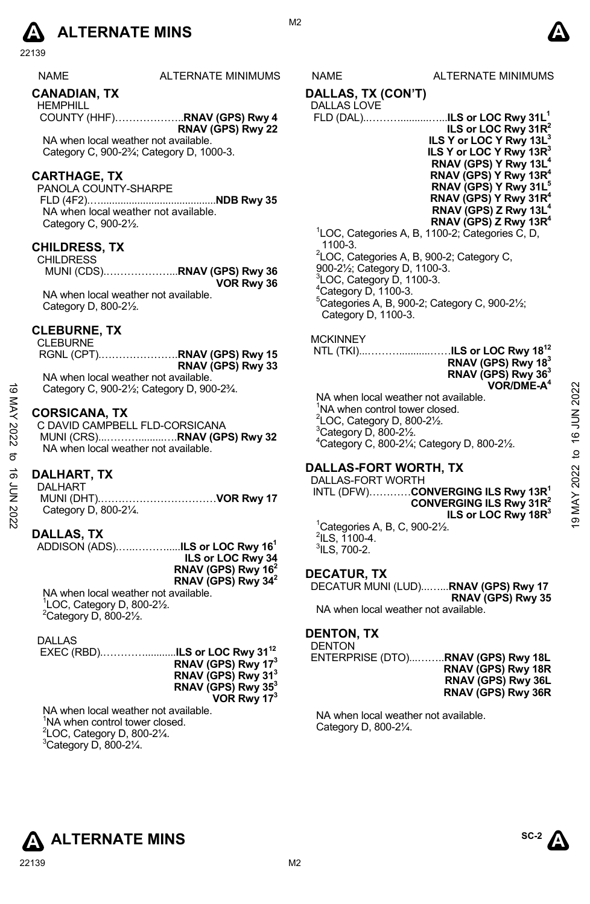## **A** ALTERNATE MINS  $\qquad \qquad \blacksquare$

22139

| <b>NAME</b> | <b>ALTERNATE MINIMU</b> |
|-------------|-------------------------|
|             |                         |

#### **CANADIAN, TX**

HEMPHILL COUNTY (HHF)………………..**RNAV (GPS) Rwy 4 RNAV (GPS) Rwy 22**

NA when local weather not available. Category C, 900-2¾; Category D, 1000-3.

#### **CARTHAGE, TX**

PANOLA COUNTY-SHARPE FLD (4F2).….........................................**NDB Rwy 35**  NA when local weather not available. Category C, 900-2½.

#### **CHILDRESS, TX**

CHILDRESS MUNI (CDS).………………...**RNAV (GPS) Rwy 36 VOR Rwy 36** 

NA when local weather not available. Category D, 800-2½.

#### **CLEBURNE, TX**

CLEBURNE

RGNL (CPT).………………….**RNAV (GPS) Rwy 15 RNAV (GPS) Rwy 33**  NA when local weather not available.

Category C, 900-2½; Category D, 900-2¾.

#### **CORSICANA, TX**

C DAVID CAMPBELL FLD-CORSICANA MUNI (CRS)...……….........….**RNAV (GPS) Rwy 32** NA when local weather not available.

#### **DALHART, TX**

DALHART MUNI (DHT).……………………………**VOR Rwy 17**  Category D, 800-2¼.

#### **DALLAS, TX**

ADDISON (ADS).…..……….....**ILS or LOC Rwy 161 ILS or LOC Rwy 34 RNAV (GPS) Rwy 162 RNAV (GPS) Rwy 342** NA when local weather not available.

1 LOC, Category D, 800-2½.  $2$ Category D, 800-2 $\frac{1}{2}$ .

DALLAS

| RNAV (GPS) Rwy 17 <sup>3</sup> |
|--------------------------------|
| RNAV (GPS) Rwy 31 <sup>3</sup> |
| RNAV (GPS) Rwy 35 <sup>3</sup> |
| VOR Rwy 173                    |

NA when local weather not available. <sup>1</sup>NA when control tower closed.  ${}^{2}$ LOC, Category D, 800-2 $\frac{1}{4}$ .  $3$ Category D, 800-21⁄4.

M<sub>2</sub>

#### IMS NAME ALTERNATE MINIMUMS

**DALLAS, TX (CON'T)** 

#### DALLAS LOVE

| ILS or LOC Rwy 31R <sup>2</sup>                             |
|-------------------------------------------------------------|
| ILS Y or LOC Y Rwy 13L <sup>3</sup>                         |
| ILS Y or LOC Y Rwy 13R <sup>3</sup>                         |
| RNAV (GPS) Y Rwy 13L <sup>4</sup>                           |
| RNAV (GPS) Y Rwy 13R <sup>4</sup>                           |
| RNAV (GPS) Y Rwy 31L <sup>5</sup>                           |
| RNAV (GPS) Y Rwy 31R <sup>4</sup>                           |
| RNAV (GPS) Z Rwy 13L <sup>4</sup>                           |
| RNAV (GPS) Z Rwy 13R <sup>4</sup>                           |
| <sup>1</sup> LOC, Categories A, B, 1100-2; Categories C, D, |

1100-3. <sup>2</sup>LOC, Categories A, B, 900-2; Category C, 900-2½; Category D, 1100-3.  $3$ LOC, Category D, 1100-3.  $4$ Category D, 1100-3. 5 Categories A, B, 900-2; Category C, 900-2½; Category D, 1100-3.

#### **MCKINNEY**

 NTL (TKI)...………...........……**ILS or LOC Rwy 1812 RNAV (GPS) Rwy 183 RNAV (GPS) Rwy 363 VOR/DME-A4**

NA when local weather not available. <sup>1</sup>NA when control tower closed.  $2$ LOC, Category D, 800-2 $\frac{1}{2}$ .  $3$ Category D, 800-2 $\frac{1}{2}$ . 4 Category C, 800-2¼; Category D, 800-2½.

#### **DALLAS-FORT WORTH, TX**

DALLAS-FORT WORTH INTL (DFW)…………**CONVERGING ILS Rwy 13R1 CONVERGING ILS Rwy 31R2 ILS or LOC Rwy 18R3** 1 Categories A, B, C, 900-2½.  $2$ ILS, 1100-4. 19 MAY 2022 to 16 JUN 202219 MAY 2022 to 16 JUN 2022

 $^3$ ILS, 700-2.

#### **DECATUR, TX**

DECATUR MUNI (LUD)...…...**RNAV (GPS) Rwy 17 RNAV (GPS) Rwy 35**  NA when local weather not available.

#### **DENTON, TX**

**DENTON** 

ENTERPRISE (DTO)...……..**RNAV (GPS) Rwy 18L RNAV (GPS) Rwy 18R RNAV (GPS) Rwy 36L RNAV (GPS) Rwy 36R** 

NA when local weather not available. Category D, 800-2¼.



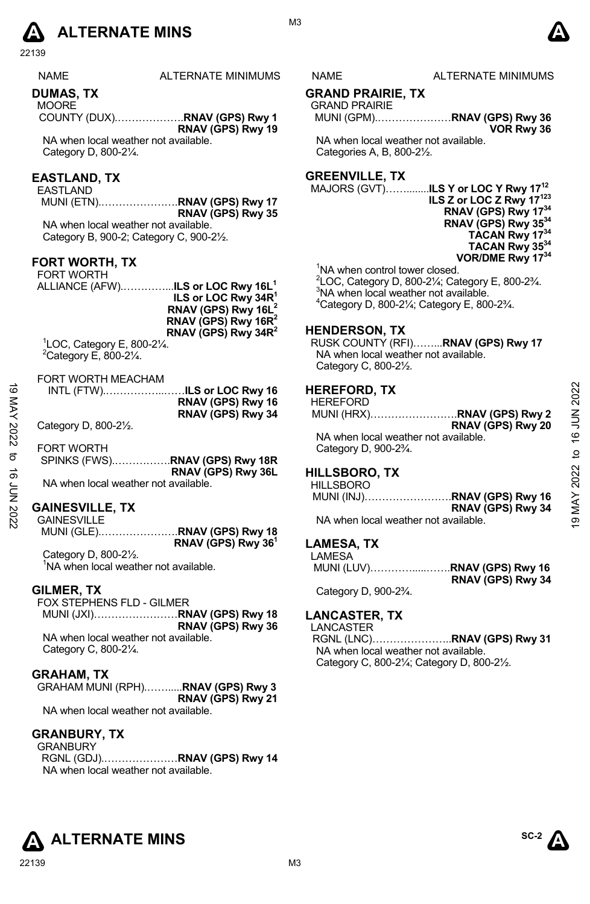# **A** ALTERNATE MINS  $\bullet$

22139

| NAME | <b>ALTERNAT</b> |
|------|-----------------|
|      |                 |
|      |                 |

#### **DUMAS, TX**

**MOORE** COUNTY (DUX).……………….**RNAV (GPS) Rwy 1 RNAV (GPS) Rwy 19** 

NA when local weather not available. Category D, 800-2¼.

### **EASTLAND, TX**

EASTLAND MUNI (ETN).………………….**RNAV (GPS) Rwy 17 RNAV (GPS) Rwy 35** 

NA when local weather not available. Category B, 900-2; Category C, 900-2½.

#### **FORT WORTH, TX**

| <b>FORT WORTH</b> |                                                      |
|-------------------|------------------------------------------------------|
|                   | ALLIANCE (AFW) <b>ILS or LOC Rwy 16L<sup>1</sup></b> |
|                   | ILS or LOC Rwy 34R <sup>1</sup>                      |
|                   | RNAV (GPS) Rwy 16L <sup>2</sup>                      |
|                   | RNAV (GPS) Rwy 16R <sup>2</sup>                      |
|                   | RNAV (GPS) Rwy $34R^2$                               |

1 LOC, Category E, 800-2¼.  $2$ Category E, 800-2 $\frac{1}{4}$ .

#### FORT WORTH MEACHAM

| RNAV (GPS) Rwy 16 |
|-------------------|
| RNAV (GPS) Rwy 34 |

#### **GAINESVILLE, TX**

GAINESVILLE MUNI (GLE).………………….**RNAV (GPS) Rwy 18 RNAV (GPS) Rwy 361**  Category D, 800-2½.

<sup>1</sup>NA when local weather not available.

#### **GILMER, TX**

FOX STEPHENS FLD - GILMER MUNI (JXI)……………………**RNAV (GPS) Rwy 18 RNAV (GPS) Rwy 36**  NA when local weather not available. Category C, 800-2¼.

#### **GRAHAM, TX**

GRAHAM MUNI (RPH).…….....**RNAV (GPS) Rwy 3 RNAV (GPS) Rwy 21**  NA when local weather not available.

#### **GRANBURY, TX**

GRANBURY RGNL (GDJ).…………………**RNAV (GPS) Rwy 14**  NA when local weather not available.

M3

#### **E MINIMUMS NAME ALTERNATE MINIMUMS**

#### **GRAND PRAIRIE, TX**

GRAND PRAIRIE MUNI (GPM).…………………**RNAV (GPS) Rwy 36 VOR Rwy 36** 

NA when local weather not available. Categories A, B, 800-2½.

#### **GREENVILLE, TX**

MAJORS (GVT)……........**ILS Y or LOC Y Rwy 1712 ILS Z or LOC Z Rwy 17123 RNAV (GPS) Rwy 1734 RNAV (GPS) Rwy 3534 TACAN Rwy 1734 TACAN Rwy 3534 VOR/DME Rwy 1734** 

<sup>1</sup>NA when control tower closed.

 $^{2}$ LOC, Category D, 800-2¼; Category E, 800-2¾. <sup>3</sup>NA when local weather not available.

4 Category D, 800-2¼; Category E, 800-2¾.

#### **HENDERSON, TX**

RUSK COUNTY (RFI)……...**RNAV (GPS) Rwy 17**  NA when local weather not available. Category C, 800-2½.

#### **HEREFORD, TX**

| ಹ    |                                      |                                | <b>HEREFORD, TX</b>                             |                   | 2022           |
|------|--------------------------------------|--------------------------------|-------------------------------------------------|-------------------|----------------|
|      |                                      | RNAV (GPS) Rwy 16              | <b>HEREFORD</b>                                 |                   |                |
|      |                                      | RNAV (GPS) Rwy 34              | MUNI (HRX)RNAV (GPS) Rwy 2                      |                   |                |
|      | Category D, 800-21/2.                |                                |                                                 | RNAV (GPS) Rwy 20 |                |
| 2022 |                                      |                                | NA when local weather not available.            |                   | NUN 91         |
|      | <b>FORT WORTH</b>                    |                                | Category D, 900-2 <sup>3</sup> / <sub>4</sub> . |                   |                |
| ಕ    |                                      | SPINKS (FWS)RNAV (GPS) Rwy 18R |                                                 |                   | ₽              |
| ಕ    |                                      | RNAV (GPS) Rwy 36L             | <b>HILLSBORO, TX</b>                            |                   |                |
|      | NA when local weather not available. |                                | <b>HILLSBORO</b>                                |                   | 2022           |
|      |                                      |                                | MUNI (INJ)RNAV (GPS) Rwy 16                     |                   |                |
|      | <b>GAINESVILLE, TX</b>               |                                |                                                 | RNAV (GPS) Rwy 34 | MAY            |
| 2022 | <b>GAINESVILLE</b>                   |                                | NA when local weather not available.            |                   | $\overline{9}$ |
|      |                                      |                                |                                                 |                   |                |

#### **HILLSBORO, TX**

| <b>HILLSBORO</b>                     |                             |
|--------------------------------------|-----------------------------|
|                                      | MUNI (INJ)RNAV (GPS) Rwy 16 |
|                                      | RNAV (GPS) Rwy 34           |
| NA when local weather not available. |                             |

#### **LAMESA, TX**

LAMESA MUNI (LUV)………….....…….**RNAV (GPS) Rwy 16 RNAV (GPS) Rwy 34** 

Category D, 900-2¾.

#### **LANCASTER, TX**

LANCASTER

RGNL (LNC)…………………..**RNAV (GPS) Rwy 31**  NA when local weather not available. Category C, 800-2¼; Category D, 800-2½.

**ALTERNATE MINS** 

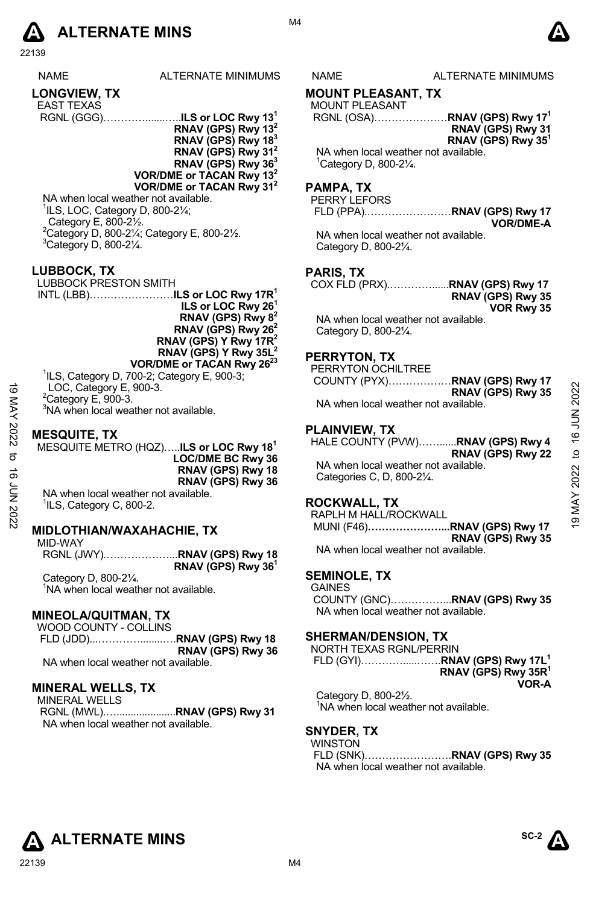

22139

| ALTERNATE MINIMU |
|------------------|
|                  |
|                  |

- EAST TEXAS RGNL (GGG)………….......…..**ILS or LOC Rwy 131**
	- **RNAV (GPS) Rwy 132 RNAV (GPS) Rwy 183**
	- **RNAV (GPS) Rwy 312**
	- **RNAV (GPS) Rwy 363**
	- **VOR/DME or TACAN Rwy 132 VOR/DME or TACAN Rwy 312**
	- NA when local weather not available.  ${}^{1}$ ILS, LOC, Category D, 800-2 $\frac{1}{4}$ ; Category E, 800-2½.
	- $2^2$ Category D, 800-21/<sub>4</sub>; Category E, 800-21/2.  $3$ Category D, 800-2 $\frac{1}{4}$ .

#### **LUBBOCK, TX**

LUBBOCK PRESTON SMITH INTL (LBB)……………………**ILS or LOC Rwy 17R1 ILS or LOC Rwy 261 RNAV (GPS) Rwy 82 RNAV (GPS) Rwy 262 RNAV (GPS) Y Rwy 17R2 RNAV (GPS) Y Rwy 35L2 VOR/DME or TACAN Rwy 2623**

1 ILS, Category D, 700-2; Category E, 900-3;

LOC, Category E, 900-3.

 $2$ Category E, 900-3.

<sup>3</sup>NA when local weather not available.

#### **MESQUITE, TX**

MESQUITE METRO (HQZ)…..**ILS or LOC Rwy 181 LOC/DME BC Rwy 36 RNAV (GPS) Rwy 18 RNAV (GPS) Rwy 36**  NA when local weather not available. <sup>1</sup>ILS, Category C, 800-2. 10 LOC, Category E, 900-3.<br>
<sup>2</sup>Category E, 900-3.<br>
<sup>2</sup>Category E, 900-3.<br>
<sup>2</sup>Category E, 900-3.<br>
<sup>2</sup>NA when local weather not available.<br> **EXEL MESQUITE METRO (HQZ).....ILS or LOC Rwy 18<sup>1</sup><br>
<b>EXEL MAY (GPS) Rwy 45**<br> **EX** 

#### **MIDLOTHIAN/WAXAHACHIE, TX**

MID-WAY RGNL (JWY).………………...**RNAV (GPS) Rwy 18 RNAV (GPS) Rwy 361** 

Category D, 800-2¼. <sup>1</sup>NA when local weather not available.

#### **MINEOLA/QUITMAN, TX**

WOOD COUNTY - COLLINS FLD (JDD)...…………........….**RNAV (GPS) Rwy 18 RNAV (GPS) Rwy 36**  NA when local weather not available.

#### **MINERAL WELLS, TX**

MINERAL WELLS RGNL (MWL).….....................**RNAV (GPS) Rwy 31**  NA when local weather not available.

M4

#### IMS NAME ALTERNATE MINIMUMS

## **MOUNT PLEASANT, TX**

MOUNT PLEASANT RGNL (OSA)…………………**RNAV (GPS) Rwy 171 RNAV (GPS) Rwy 31 RNAV (GPS) Rwy 351** 

NA when local weather not available. 1 Category D, 800-2¼.

#### **PAMPA, TX**

PERRY LEFORS FLD (PPA).……………………**RNAV (GPS) Rwy 17 VOR/DME-A** 

NA when local weather not available. Category D, 800-2¼.

#### **PARIS, TX**

COX FLD (PRX).…………......**RNAV (GPS) Rwy 17 RNAV (GPS) Rwy 35 VOR Rwy 35**  NA when local weather not available.

Category D, 800-2¼.

#### **PERRYTON, TX**

PERRYTON OCHILTREE COUNTY (PYX)………………**RNAV (GPS) Rwy 17 RNAV (GPS) Rwy 35**  NA when local weather not available.

#### **PLAINVIEW, TX**

HALE COUNTY (PVW)……......**RNAV (GPS) Rwy 4 RNAV (GPS) Rwy 22**  NA when local weather not available.

Categories C, D, 800-2¼.

#### **ROCKWALL, TX**

RAPLH M HALL/ROCKWALL MUNI (F46)**…………………...RNAV (GPS) Rwy 17 RNAV (GPS) Rwy 35** 

NA when local weather not available.

#### **SEMINOLE, TX**

GAINES COUNTY (GNC)……………...**RNAV (GPS) Rwy 35**  NA when local weather not available.

#### **SHERMAN/DENSION, TX**

| NORTH TEXAS RGNL/PERRIN |                                 |
|-------------------------|---------------------------------|
|                         |                                 |
|                         | RNAV (GPS) Rwy 35R <sup>1</sup> |
|                         | VOR-A                           |
| 0.11111000001           |                                 |

Category D, 800-2½. <sup>1</sup>NA when local weather not available.

#### **SNYDER, TX**

WINSTON

FLD (SNK)…………………….**RNAV (GPS) Rwy 35**  NA when local weather not available.